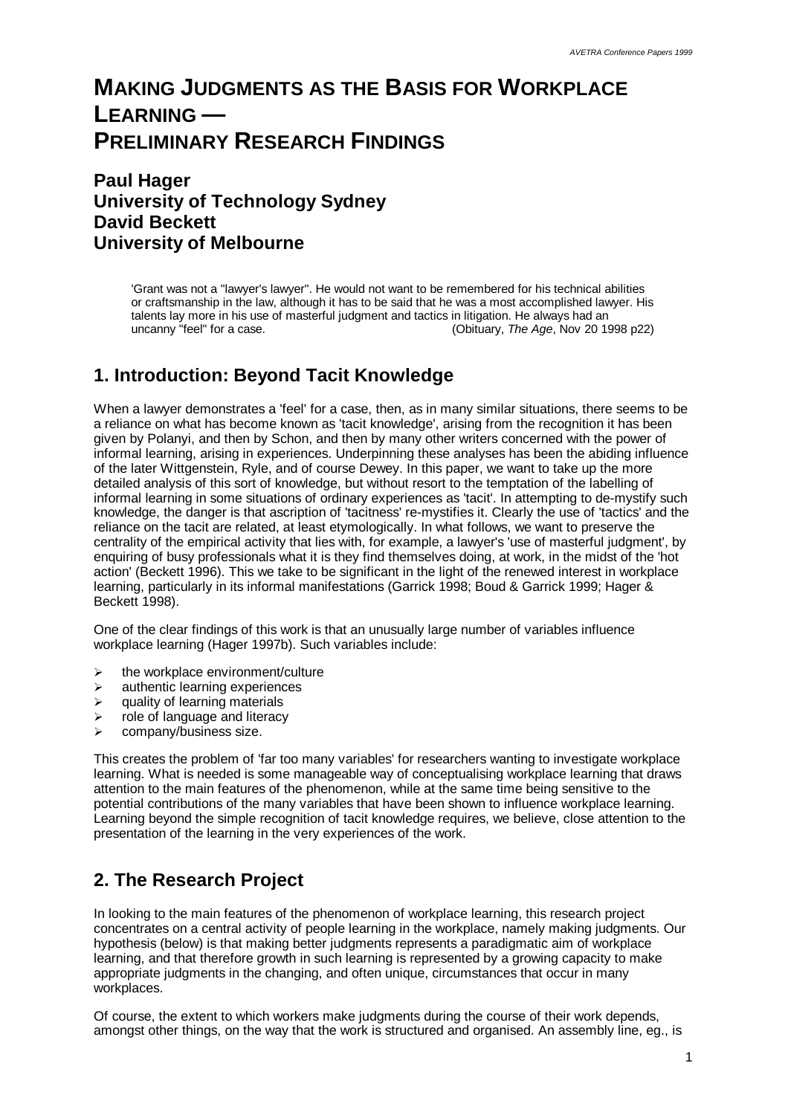# **MAKING JUDGMENTS AS THE BASIS FOR WORKPLACE LEARNING — PRELIMINARY RESEARCH FINDINGS**

### **Paul Hager University of Technology Sydney David Beckett University of Melbourne**

'Grant was not a "lawyer's lawyer". He would not want to be remembered for his technical abilities or craftsmanship in the law, although it has to be said that he was a most accomplished lawyer. His talents lay more in his use of masterful judgment and tactics in litigation. He always had an uncanny "feel" for a case. (Obituary, *The Age*, Nov 20 1998 p22)

# **1. Introduction: Beyond Tacit Knowledge**

When a lawyer demonstrates a 'feel' for a case, then, as in many similar situations, there seems to be a reliance on what has become known as 'tacit knowledge', arising from the recognition it has been given by Polanyi, and then by Schon, and then by many other writers concerned with the power of informal learning, arising in experiences. Underpinning these analyses has been the abiding influence of the later Wittgenstein, Ryle, and of course Dewey. In this paper, we want to take up the more detailed analysis of this sort of knowledge, but without resort to the temptation of the labelling of informal learning in some situations of ordinary experiences as 'tacit'. In attempting to de-mystify such knowledge, the danger is that ascription of 'tacitness' re-mystifies it. Clearly the use of 'tactics' and the reliance on the tacit are related, at least etymologically. In what follows, we want to preserve the centrality of the empirical activity that lies with, for example, a lawyer's 'use of masterful judgment', by enquiring of busy professionals what it is they find themselves doing, at work, in the midst of the 'hot action' (Beckett 1996). This we take to be significant in the light of the renewed interest in workplace learning, particularly in its informal manifestations (Garrick 1998; Boud & Garrick 1999; Hager & Beckett 1998).

One of the clear findings of this work is that an unusually large number of variables influence workplace learning (Hager 1997b). Such variables include:

- $\triangleright$  the workplace environment/culture
- $\geq$  authentic learning experiences
- $\triangleright$  quality of learning materials
- $\triangleright$  role of language and literacy
- $\triangleright$  company/business size.

This creates the problem of 'far too many variables' for researchers wanting to investigate workplace learning. What is needed is some manageable way of conceptualising workplace learning that draws attention to the main features of the phenomenon, while at the same time being sensitive to the potential contributions of the many variables that have been shown to influence workplace learning. Learning beyond the simple recognition of tacit knowledge requires, we believe, close attention to the presentation of the learning in the very experiences of the work.

# **2. The Research Project**

In looking to the main features of the phenomenon of workplace learning, this research project concentrates on a central activity of people learning in the workplace, namely making judgments. Our hypothesis (below) is that making better judgments represents a paradigmatic aim of workplace learning, and that therefore growth in such learning is represented by a growing capacity to make appropriate judgments in the changing, and often unique, circumstances that occur in many workplaces.

Of course, the extent to which workers make judgments during the course of their work depends, amongst other things, on the way that the work is structured and organised. An assembly line, eg., is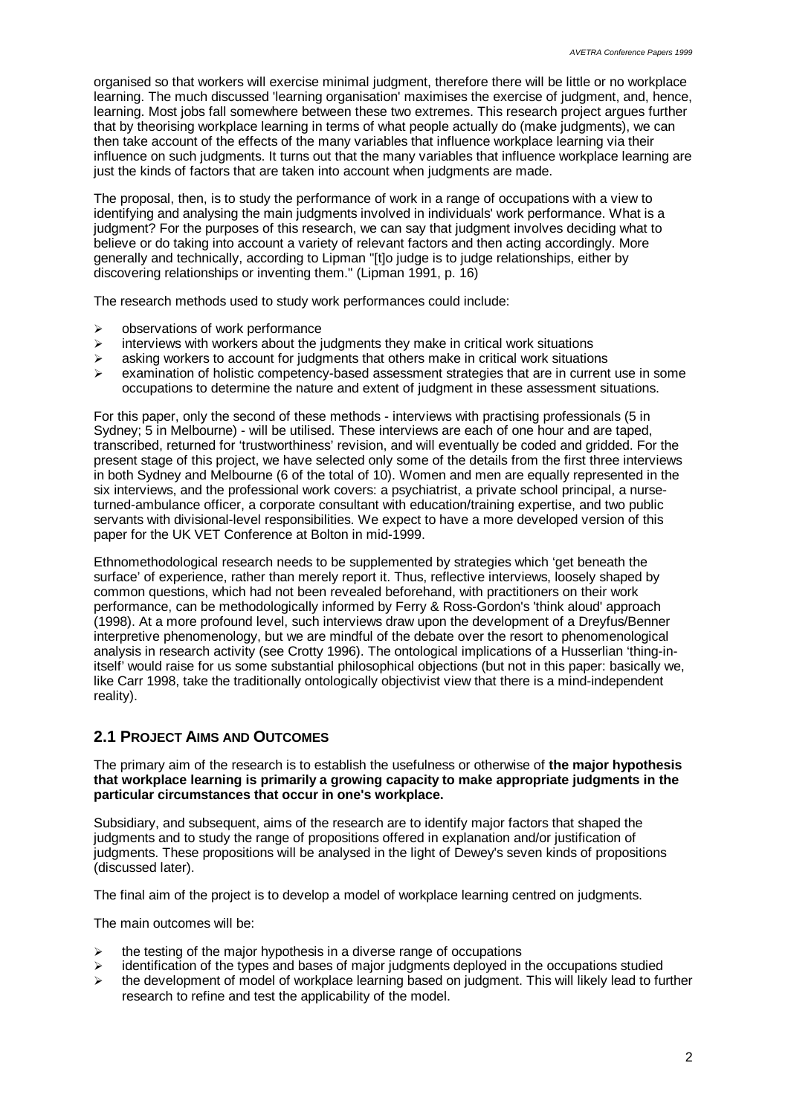organised so that workers will exercise minimal judgment, therefore there will be little or no workplace learning. The much discussed 'learning organisation' maximises the exercise of judgment, and, hence, learning. Most jobs fall somewhere between these two extremes. This research project argues further that by theorising workplace learning in terms of what people actually do (make judgments), we can then take account of the effects of the many variables that influence workplace learning via their influence on such judgments. It turns out that the many variables that influence workplace learning are just the kinds of factors that are taken into account when judgments are made.

The proposal, then, is to study the performance of work in a range of occupations with a view to identifying and analysing the main judgments involved in individuals' work performance. What is a judgment? For the purposes of this research, we can say that judgment involves deciding what to believe or do taking into account a variety of relevant factors and then acting accordingly. More generally and technically, according to Lipman "[t]o judge is to judge relationships, either by discovering relationships or inventing them." (Lipman 1991, p. 16)

The research methods used to study work performances could include:

- $\geq$  observations of work performance
- $\geq$  interviews with workers about the judgments they make in critical work situations
- $\triangleright$  asking workers to account for judgments that others make in critical work situations
- $\triangleright$  examination of holistic competency-based assessment strategies that are in current use in some occupations to determine the nature and extent of judgment in these assessment situations.

For this paper, only the second of these methods - interviews with practising professionals (5 in Sydney; 5 in Melbourne) - will be utilised. These interviews are each of one hour and are taped, transcribed, returned for 'trustworthiness' revision, and will eventually be coded and gridded. For the present stage of this project, we have selected only some of the details from the first three interviews in both Sydney and Melbourne (6 of the total of 10). Women and men are equally represented in the six interviews, and the professional work covers: a psychiatrist, a private school principal, a nurseturned-ambulance officer, a corporate consultant with education/training expertise, and two public servants with divisional-level responsibilities. We expect to have a more developed version of this paper for the UK VET Conference at Bolton in mid-1999.

Ethnomethodological research needs to be supplemented by strategies which 'get beneath the surface' of experience, rather than merely report it. Thus, reflective interviews, loosely shaped by common questions, which had not been revealed beforehand, with practitioners on their work performance, can be methodologically informed by Ferry & Ross-Gordon's 'think aloud' approach (1998). At a more profound level, such interviews draw upon the development of a Dreyfus/Benner interpretive phenomenology, but we are mindful of the debate over the resort to phenomenological analysis in research activity (see Crotty 1996). The ontological implications of a Husserlian 'thing-initself' would raise for us some substantial philosophical objections (but not in this paper: basically we, like Carr 1998, take the traditionally ontologically objectivist view that there is a mind-independent reality).

#### **2.1 PROJECT AIMS AND OUTCOMES**

The primary aim of the research is to establish the usefulness or otherwise of **the major hypothesis that workplace learning is primarily a growing capacity to make appropriate judgments in the particular circumstances that occur in one's workplace.**

Subsidiary, and subsequent, aims of the research are to identify major factors that shaped the judgments and to study the range of propositions offered in explanation and/or justification of judgments. These propositions will be analysed in the light of Dewey's seven kinds of propositions (discussed later).

The final aim of the project is to develop a model of workplace learning centred on judgments.

The main outcomes will be:

- $\geq$  the testing of the major hypothesis in a diverse range of occupations
- identification of the types and bases of major judgments deployed in the occupations studied
- $\triangleright$  the development of model of workplace learning based on judgment. This will likely lead to further research to refine and test the applicability of the model.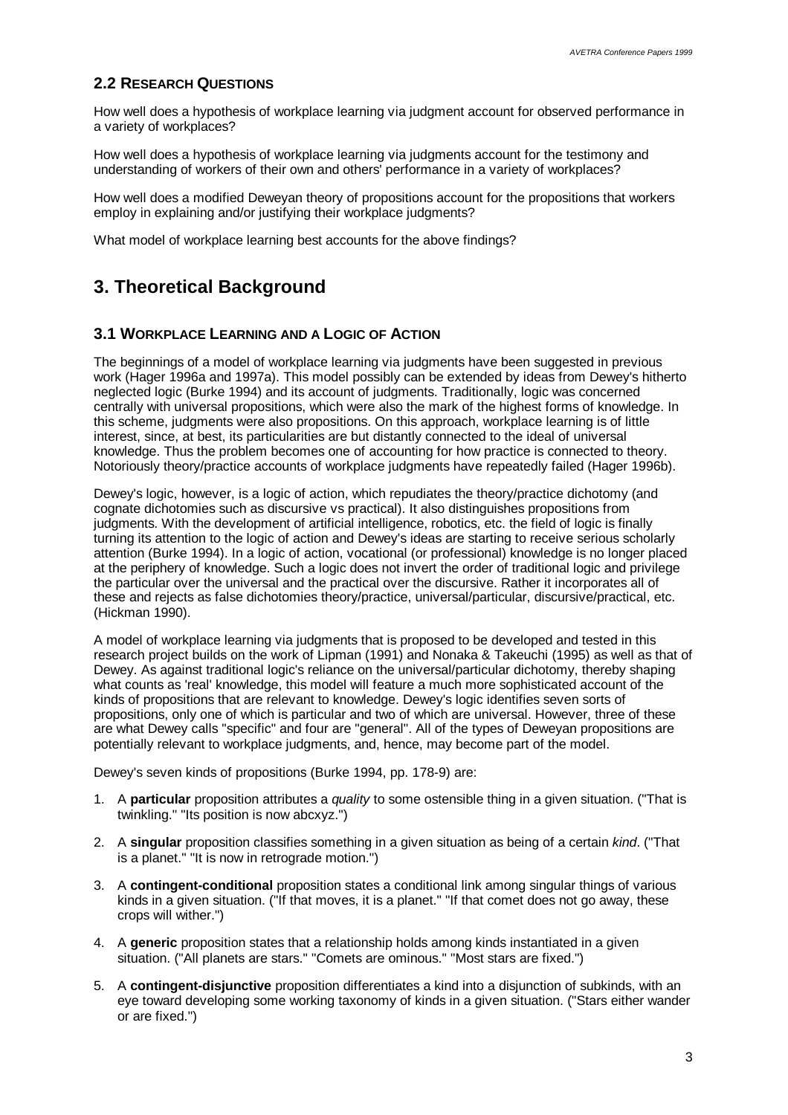#### **2.2 RESEARCH QUESTIONS**

How well does a hypothesis of workplace learning via judgment account for observed performance in a variety of workplaces?

How well does a hypothesis of workplace learning via judgments account for the testimony and understanding of workers of their own and others' performance in a variety of workplaces?

How well does a modified Deweyan theory of propositions account for the propositions that workers employ in explaining and/or justifying their workplace judgments?

What model of workplace learning best accounts for the above findings?

### **3. Theoretical Background**

#### **3.1 WORKPLACE LEARNING AND A LOGIC OF ACTION**

The beginnings of a model of workplace learning via judgments have been suggested in previous work (Hager 1996a and 1997a). This model possibly can be extended by ideas from Dewey's hitherto neglected logic (Burke 1994) and its account of judgments. Traditionally, logic was concerned centrally with universal propositions, which were also the mark of the highest forms of knowledge. In this scheme, judgments were also propositions. On this approach, workplace learning is of little interest, since, at best, its particularities are but distantly connected to the ideal of universal knowledge. Thus the problem becomes one of accounting for how practice is connected to theory. Notoriously theory/practice accounts of workplace judgments have repeatedly failed (Hager 1996b).

Dewey's logic, however, is a logic of action, which repudiates the theory/practice dichotomy (and cognate dichotomies such as discursive vs practical). It also distinguishes propositions from judgments. With the development of artificial intelligence, robotics, etc. the field of logic is finally turning its attention to the logic of action and Dewey's ideas are starting to receive serious scholarly attention (Burke 1994). In a logic of action, vocational (or professional) knowledge is no longer placed at the periphery of knowledge. Such a logic does not invert the order of traditional logic and privilege the particular over the universal and the practical over the discursive. Rather it incorporates all of these and rejects as false dichotomies theory/practice, universal/particular, discursive/practical, etc. (Hickman 1990).

A model of workplace learning via judgments that is proposed to be developed and tested in this research project builds on the work of Lipman (1991) and Nonaka & Takeuchi (1995) as well as that of Dewey. As against traditional logic's reliance on the universal/particular dichotomy, thereby shaping what counts as 'real' knowledge, this model will feature a much more sophisticated account of the kinds of propositions that are relevant to knowledge. Dewey's logic identifies seven sorts of propositions, only one of which is particular and two of which are universal. However, three of these are what Dewey calls "specific" and four are "general". All of the types of Deweyan propositions are potentially relevant to workplace judgments, and, hence, may become part of the model.

Dewey's seven kinds of propositions (Burke 1994, pp. 178-9) are:

- 1. A **particular** proposition attributes a *quality* to some ostensible thing in a given situation. ("That is twinkling." "Its position is now abcxyz.")
- 2. A **singular** proposition classifies something in a given situation as being of a certain *kind*. ("That is a planet." "It is now in retrograde motion.")
- 3. A **contingent-conditional** proposition states a conditional link among singular things of various kinds in a given situation. ("If that moves, it is a planet." "If that comet does not go away, these crops will wither.")
- 4. A **generic** proposition states that a relationship holds among kinds instantiated in a given situation. ("All planets are stars." "Comets are ominous." "Most stars are fixed.")
- 5. A **contingent-disjunctive** proposition differentiates a kind into a disjunction of subkinds, with an eye toward developing some working taxonomy of kinds in a given situation. ("Stars either wander or are fixed.")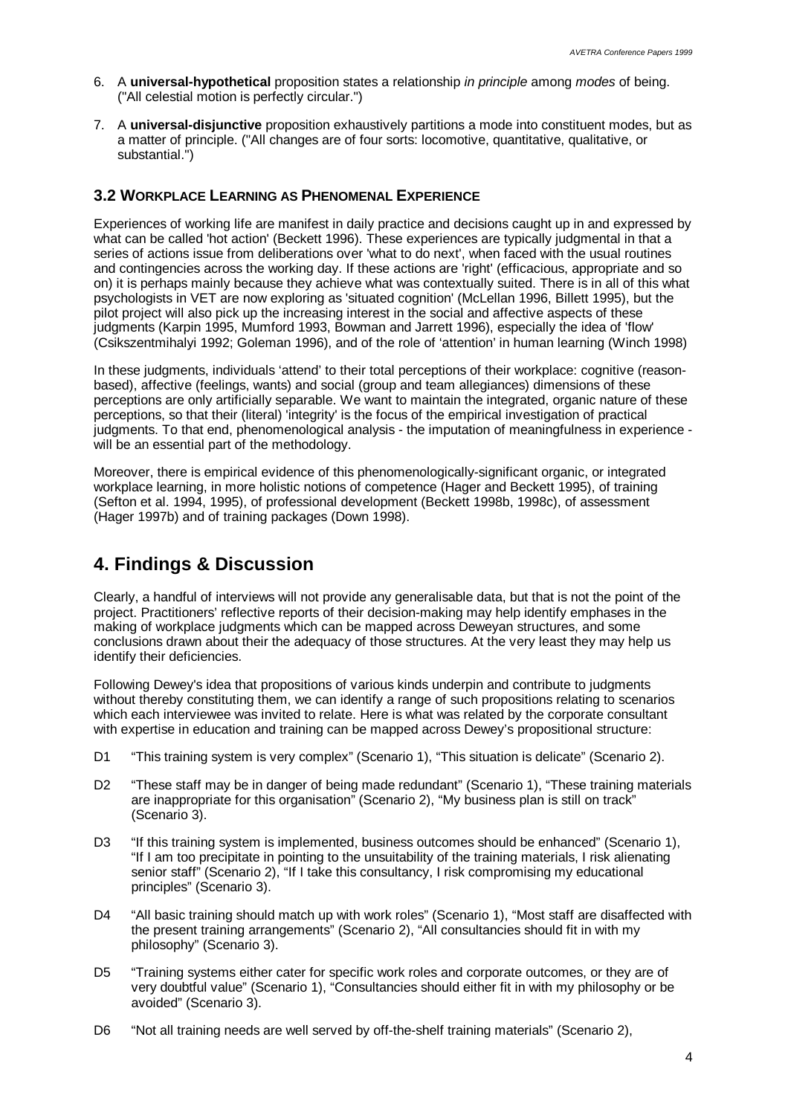- 6. A **universal-hypothetical** proposition states a relationship *in principle* among *modes* of being. ("All celestial motion is perfectly circular.")
- 7. A **universal-disjunctive** proposition exhaustively partitions a mode into constituent modes, but as a matter of principle. ("All changes are of four sorts: locomotive, quantitative, qualitative, or substantial.")

#### **3.2 WORKPLACE LEARNING AS PHENOMENAL EXPERIENCE**

Experiences of working life are manifest in daily practice and decisions caught up in and expressed by what can be called 'hot action' (Beckett 1996). These experiences are typically judgmental in that a series of actions issue from deliberations over 'what to do next', when faced with the usual routines and contingencies across the working day. If these actions are 'right' (efficacious, appropriate and so on) it is perhaps mainly because they achieve what was contextually suited. There is in all of this what psychologists in VET are now exploring as 'situated cognition' (McLellan 1996, Billett 1995), but the pilot project will also pick up the increasing interest in the social and affective aspects of these judgments (Karpin 1995, Mumford 1993, Bowman and Jarrett 1996), especially the idea of 'flow' (Csikszentmihalyi 1992; Goleman 1996), and of the role of 'attention' in human learning (Winch 1998)

In these judgments, individuals 'attend' to their total perceptions of their workplace: cognitive (reasonbased), affective (feelings, wants) and social (group and team allegiances) dimensions of these perceptions are only artificially separable. We want to maintain the integrated, organic nature of these perceptions, so that their (literal) 'integrity' is the focus of the empirical investigation of practical judgments. To that end, phenomenological analysis - the imputation of meaningfulness in experience will be an essential part of the methodology.

Moreover, there is empirical evidence of this phenomenologically-significant organic, or integrated workplace learning, in more holistic notions of competence (Hager and Beckett 1995), of training (Sefton et al. 1994, 1995), of professional development (Beckett 1998b, 1998c), of assessment (Hager 1997b) and of training packages (Down 1998).

## **4. Findings & Discussion**

Clearly, a handful of interviews will not provide any generalisable data, but that is not the point of the project. Practitioners' reflective reports of their decision-making may help identify emphases in the making of workplace judgments which can be mapped across Deweyan structures, and some conclusions drawn about their the adequacy of those structures. At the very least they may help us identify their deficiencies.

Following Dewey's idea that propositions of various kinds underpin and contribute to judgments without thereby constituting them, we can identify a range of such propositions relating to scenarios which each interviewee was invited to relate. Here is what was related by the corporate consultant with expertise in education and training can be mapped across Dewey's propositional structure:

- D1 "This training system is very complex" (Scenario 1), "This situation is delicate" (Scenario 2).
- D2 "These staff may be in danger of being made redundant" (Scenario 1), "These training materials are inappropriate for this organisation" (Scenario 2), "My business plan is still on track" (Scenario 3).
- D3 "If this training system is implemented, business outcomes should be enhanced" (Scenario 1), "If I am too precipitate in pointing to the unsuitability of the training materials, I risk alienating senior staff" (Scenario 2), "If I take this consultancy, I risk compromising my educational principles" (Scenario 3).
- D4 "All basic training should match up with work roles" (Scenario 1), "Most staff are disaffected with the present training arrangements" (Scenario 2), "All consultancies should fit in with my philosophy" (Scenario 3).
- D5 "Training systems either cater for specific work roles and corporate outcomes, or they are of very doubtful value" (Scenario 1), "Consultancies should either fit in with my philosophy or be avoided" (Scenario 3).
- D6 "Not all training needs are well served by off-the-shelf training materials" (Scenario 2),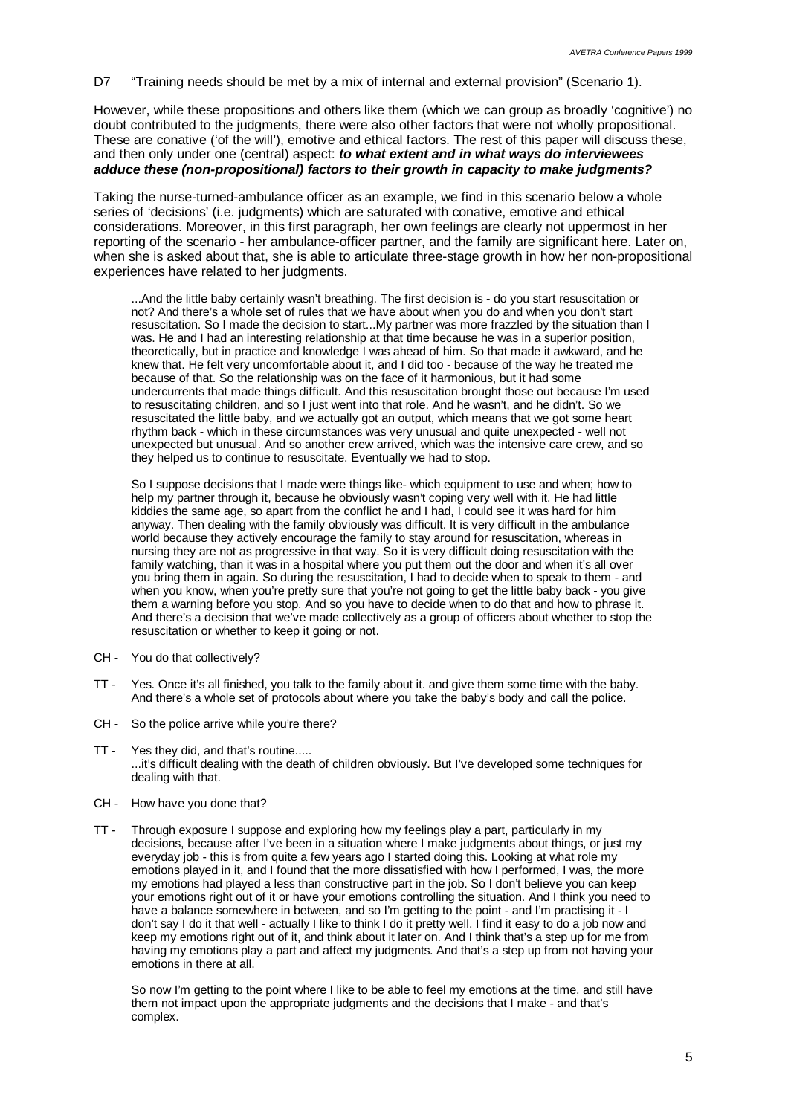D7 "Training needs should be met by a mix of internal and external provision" (Scenario 1).

However, while these propositions and others like them (which we can group as broadly 'cognitive') no doubt contributed to the judgments, there were also other factors that were not wholly propositional. These are conative ('of the will'), emotive and ethical factors. The rest of this paper will discuss these, and then only under one (central) aspect: *to what extent and in what ways do interviewees adduce these (non-propositional) factors to their growth in capacity to make judgments?*

Taking the nurse-turned-ambulance officer as an example, we find in this scenario below a whole series of 'decisions' (i.e. judgments) which are saturated with conative, emotive and ethical considerations. Moreover, in this first paragraph, her own feelings are clearly not uppermost in her reporting of the scenario - her ambulance-officer partner, and the family are significant here. Later on, when she is asked about that, she is able to articulate three-stage growth in how her non-propositional experiences have related to her judgments.

...And the little baby certainly wasn't breathing. The first decision is - do you start resuscitation or not? And there's a whole set of rules that we have about when you do and when you don't start resuscitation. So I made the decision to start...My partner was more frazzled by the situation than I was. He and I had an interesting relationship at that time because he was in a superior position, theoretically, but in practice and knowledge I was ahead of him. So that made it awkward, and he knew that. He felt very uncomfortable about it, and I did too - because of the way he treated me because of that. So the relationship was on the face of it harmonious, but it had some undercurrents that made things difficult. And this resuscitation brought those out because I'm used to resuscitating children, and so I just went into that role. And he wasn't, and he didn't. So we resuscitated the little baby, and we actually got an output, which means that we got some heart rhythm back - which in these circumstances was very unusual and quite unexpected - well not unexpected but unusual. And so another crew arrived, which was the intensive care crew, and so they helped us to continue to resuscitate. Eventually we had to stop.

So I suppose decisions that I made were things like- which equipment to use and when; how to help my partner through it, because he obviously wasn't coping very well with it. He had little kiddies the same age, so apart from the conflict he and I had, I could see it was hard for him anyway. Then dealing with the family obviously was difficult. It is very difficult in the ambulance world because they actively encourage the family to stay around for resuscitation, whereas in nursing they are not as progressive in that way. So it is very difficult doing resuscitation with the family watching, than it was in a hospital where you put them out the door and when it's all over you bring them in again. So during the resuscitation, I had to decide when to speak to them - and when you know, when you're pretty sure that you're not going to get the little baby back - you give them a warning before you stop. And so you have to decide when to do that and how to phrase it. And there's a decision that we've made collectively as a group of officers about whether to stop the resuscitation or whether to keep it going or not.

- CH You do that collectively?
- TT Yes. Once it's all finished, you talk to the family about it. and give them some time with the baby. And there's a whole set of protocols about where you take the baby's body and call the police.
- CH So the police arrive while you're there?
- TT Yes they did, and that's routine..... ...it's difficult dealing with the death of children obviously. But I've developed some techniques for dealing with that.
- CH How have you done that?
- TT Through exposure I suppose and exploring how my feelings play a part, particularly in my decisions, because after I've been in a situation where I make judgments about things, or just my everyday job - this is from quite a few years ago I started doing this. Looking at what role my emotions played in it, and I found that the more dissatisfied with how I performed, I was, the more my emotions had played a less than constructive part in the job. So I don't believe you can keep your emotions right out of it or have your emotions controlling the situation. And I think you need to have a balance somewhere in between, and so I'm getting to the point - and I'm practising it - I don't say I do it that well - actually I like to think I do it pretty well. I find it easy to do a job now and keep my emotions right out of it, and think about it later on. And I think that's a step up for me from having my emotions play a part and affect my judgments. And that's a step up from not having your emotions in there at all.

So now I'm getting to the point where I like to be able to feel my emotions at the time, and still have them not impact upon the appropriate judgments and the decisions that I make - and that's complex.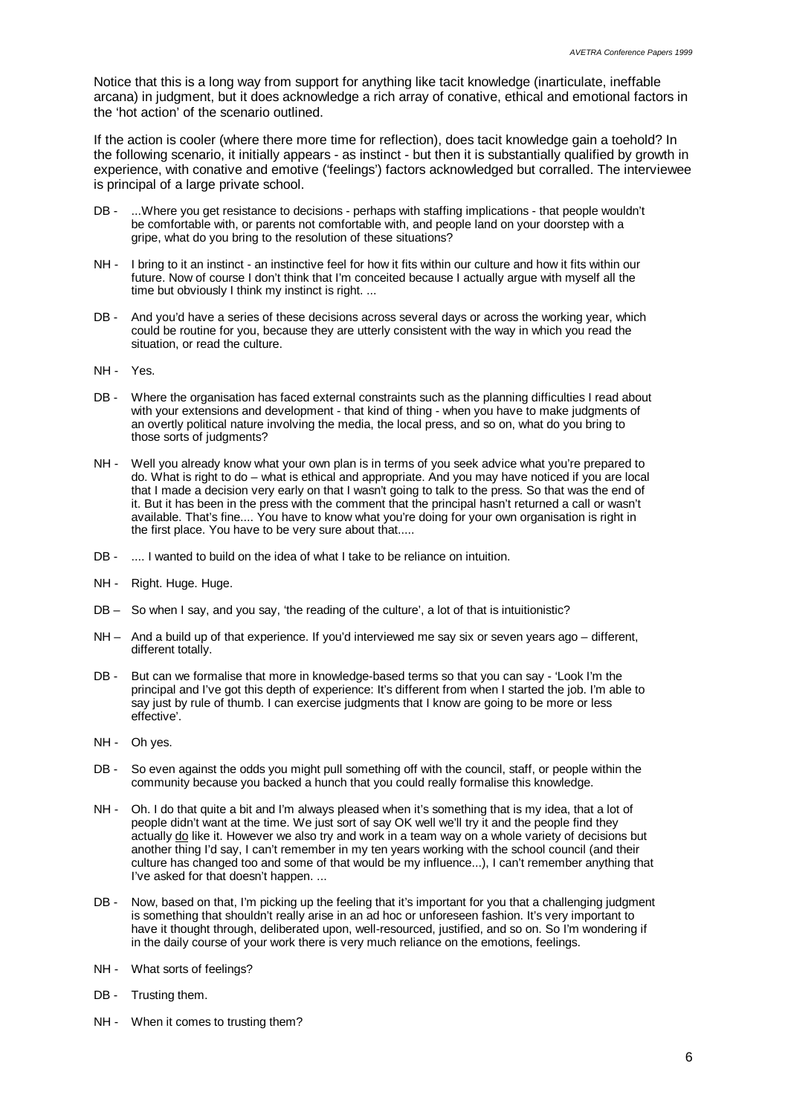Notice that this is a long way from support for anything like tacit knowledge (inarticulate, ineffable arcana) in judgment, but it does acknowledge a rich array of conative, ethical and emotional factors in the 'hot action' of the scenario outlined.

If the action is cooler (where there more time for reflection), does tacit knowledge gain a toehold? In the following scenario, it initially appears - as instinct - but then it is substantially qualified by growth in experience, with conative and emotive ('feelings') factors acknowledged but corralled. The interviewee is principal of a large private school.

- DB ...Where you get resistance to decisions perhaps with staffing implications that people wouldn't be comfortable with, or parents not comfortable with, and people land on your doorstep with a gripe, what do you bring to the resolution of these situations?
- NH I bring to it an instinct an instinctive feel for how it fits within our culture and how it fits within our future. Now of course I don't think that I'm conceited because I actually argue with myself all the time but obviously I think my instinct is right. ...
- DB And you'd have a series of these decisions across several days or across the working year, which could be routine for you, because they are utterly consistent with the way in which you read the situation, or read the culture.
- NH Yes.
- DB Where the organisation has faced external constraints such as the planning difficulties I read about with your extensions and development - that kind of thing - when you have to make judgments of an overtly political nature involving the media, the local press, and so on, what do you bring to those sorts of judgments?
- NH Well you already know what your own plan is in terms of you seek advice what you're prepared to do. What is right to do – what is ethical and appropriate. And you may have noticed if you are local that I made a decision very early on that I wasn't going to talk to the press. So that was the end of it. But it has been in the press with the comment that the principal hasn't returned a call or wasn't available. That's fine.... You have to know what you're doing for your own organisation is right in the first place. You have to be very sure about that.....
- DB .... I wanted to build on the idea of what I take to be reliance on intuition.
- NH Right. Huge. Huge.
- DB So when I say, and you say, 'the reading of the culture', a lot of that is intuitionistic?
- NH And a build up of that experience. If you'd interviewed me say six or seven years ago different, different totally.
- DB But can we formalise that more in knowledge-based terms so that you can say 'Look I'm the principal and I've got this depth of experience: It's different from when I started the job. I'm able to say just by rule of thumb. I can exercise judgments that I know are going to be more or less effective'.
- NH Oh yes.
- DB So even against the odds you might pull something off with the council, staff, or people within the community because you backed a hunch that you could really formalise this knowledge.
- NH Oh. I do that quite a bit and I'm always pleased when it's something that is my idea, that a lot of people didn't want at the time. We just sort of say OK well we'll try it and the people find they actually do like it. However we also try and work in a team way on a whole variety of decisions but another thing I'd say, I can't remember in my ten years working with the school council (and their culture has changed too and some of that would be my influence...), I can't remember anything that I've asked for that doesn't happen. ...
- DB Now, based on that, I'm picking up the feeling that it's important for you that a challenging judgment is something that shouldn't really arise in an ad hoc or unforeseen fashion. It's very important to have it thought through, deliberated upon, well-resourced, justified, and so on. So I'm wondering if in the daily course of your work there is very much reliance on the emotions, feelings.
- NH What sorts of feelings?
- DB Trusting them.
- NH When it comes to trusting them?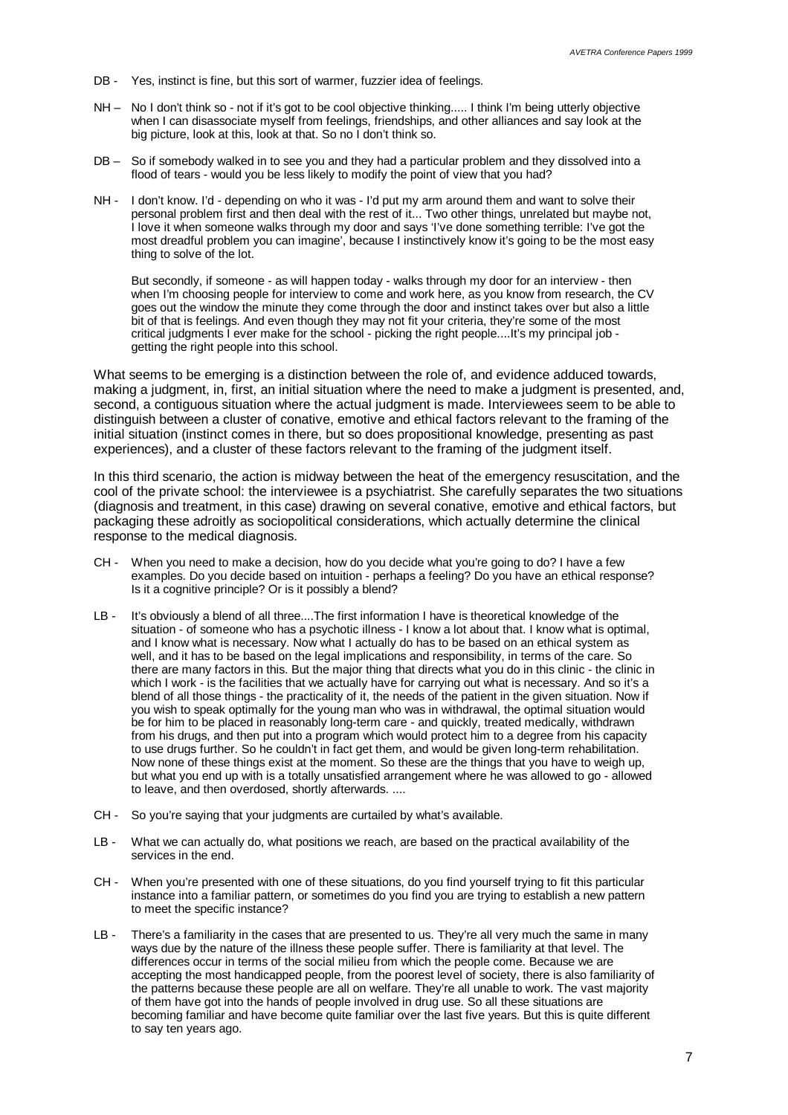- DB Yes, instinct is fine, but this sort of warmer, fuzzier idea of feelings.
- NH No I don't think so not if it's got to be cool objective thinking..... I think I'm being utterly objective when I can disassociate myself from feelings, friendships, and other alliances and say look at the big picture, look at this, look at that. So no I don't think so.
- DB So if somebody walked in to see you and they had a particular problem and they dissolved into a flood of tears - would you be less likely to modify the point of view that you had?
- NH I don't know. I'd depending on who it was I'd put my arm around them and want to solve their personal problem first and then deal with the rest of it... Two other things, unrelated but maybe not, I love it when someone walks through my door and says 'I've done something terrible: I've got the most dreadful problem you can imagine', because I instinctively know it's going to be the most easy thing to solve of the lot.

But secondly, if someone - as will happen today - walks through my door for an interview - then when I'm choosing people for interview to come and work here, as you know from research, the CV goes out the window the minute they come through the door and instinct takes over but also a little bit of that is feelings. And even though they may not fit your criteria, they're some of the most critical judgments I ever make for the school - picking the right people....It's my principal job getting the right people into this school.

What seems to be emerging is a distinction between the role of, and evidence adduced towards, making a judgment, in, first, an initial situation where the need to make a judgment is presented, and, second, a contiguous situation where the actual judgment is made. Interviewees seem to be able to distinguish between a cluster of conative, emotive and ethical factors relevant to the framing of the initial situation (instinct comes in there, but so does propositional knowledge, presenting as past experiences), and a cluster of these factors relevant to the framing of the judgment itself.

In this third scenario, the action is midway between the heat of the emergency resuscitation, and the cool of the private school: the interviewee is a psychiatrist. She carefully separates the two situations (diagnosis and treatment, in this case) drawing on several conative, emotive and ethical factors, but packaging these adroitly as sociopolitical considerations, which actually determine the clinical response to the medical diagnosis.

- CH When you need to make a decision, how do you decide what you're going to do? I have a few examples. Do you decide based on intuition - perhaps a feeling? Do you have an ethical response? Is it a cognitive principle? Or is it possibly a blend?
- LB It's obviously a blend of all three....The first information I have is theoretical knowledge of the situation - of someone who has a psychotic illness - I know a lot about that. I know what is optimal, and I know what is necessary. Now what I actually do has to be based on an ethical system as well, and it has to be based on the legal implications and responsibility, in terms of the care. So there are many factors in this. But the major thing that directs what you do in this clinic - the clinic in which I work - is the facilities that we actually have for carrying out what is necessary. And so it's a blend of all those things - the practicality of it, the needs of the patient in the given situation. Now if you wish to speak optimally for the young man who was in withdrawal, the optimal situation would be for him to be placed in reasonably long-term care - and quickly, treated medically, withdrawn from his drugs, and then put into a program which would protect him to a degree from his capacity to use drugs further. So he couldn't in fact get them, and would be given long-term rehabilitation. Now none of these things exist at the moment. So these are the things that you have to weigh up, but what you end up with is a totally unsatisfied arrangement where he was allowed to go - allowed to leave, and then overdosed, shortly afterwards. ....
- CH So you're saying that your judgments are curtailed by what's available.
- LB What we can actually do, what positions we reach, are based on the practical availability of the services in the end.
- CH When you're presented with one of these situations, do you find yourself trying to fit this particular instance into a familiar pattern, or sometimes do you find you are trying to establish a new pattern to meet the specific instance?
- LB There's a familiarity in the cases that are presented to us. They're all very much the same in many ways due by the nature of the illness these people suffer. There is familiarity at that level. The differences occur in terms of the social milieu from which the people come. Because we are accepting the most handicapped people, from the poorest level of society, there is also familiarity of the patterns because these people are all on welfare. They're all unable to work. The vast majority of them have got into the hands of people involved in drug use. So all these situations are becoming familiar and have become quite familiar over the last five years. But this is quite different to say ten years ago.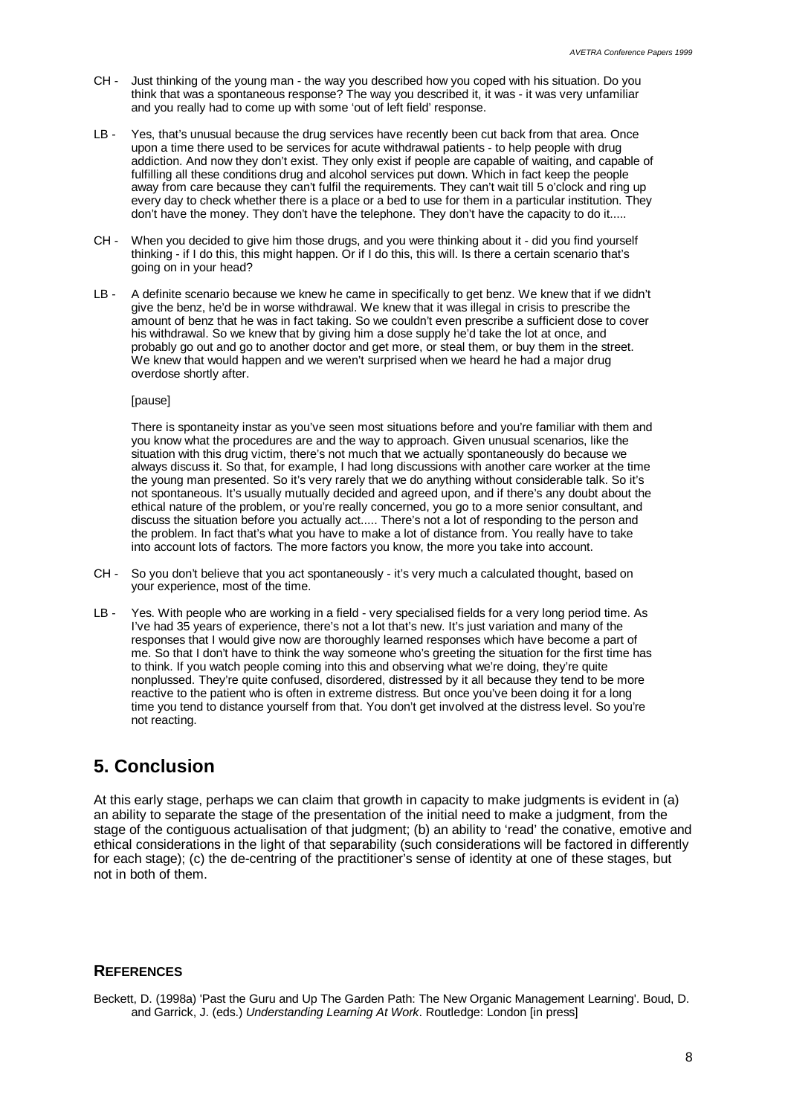- CH Just thinking of the young man the way you described how you coped with his situation. Do you think that was a spontaneous response? The way you described it, it was - it was very unfamiliar and you really had to come up with some 'out of left field' response.
- LB Yes, that's unusual because the drug services have recently been cut back from that area. Once upon a time there used to be services for acute withdrawal patients - to help people with drug addiction. And now they don't exist. They only exist if people are capable of waiting, and capable of fulfilling all these conditions drug and alcohol services put down. Which in fact keep the people away from care because they can't fulfil the requirements. They can't wait till 5 o'clock and ring up every day to check whether there is a place or a bed to use for them in a particular institution. They don't have the money. They don't have the telephone. They don't have the capacity to do it.....
- CH When you decided to give him those drugs, and you were thinking about it did you find yourself thinking - if I do this, this might happen. Or if I do this, this will. Is there a certain scenario that's going on in your head?
- LB A definite scenario because we knew he came in specifically to get benz. We knew that if we didn't give the benz, he'd be in worse withdrawal. We knew that it was illegal in crisis to prescribe the amount of benz that he was in fact taking. So we couldn't even prescribe a sufficient dose to cover his withdrawal. So we knew that by giving him a dose supply he'd take the lot at once, and probably go out and go to another doctor and get more, or steal them, or buy them in the street. We knew that would happen and we weren't surprised when we heard he had a major drug overdose shortly after.

#### [pause]

There is spontaneity instar as you've seen most situations before and you're familiar with them and you know what the procedures are and the way to approach. Given unusual scenarios, like the situation with this drug victim, there's not much that we actually spontaneously do because we always discuss it. So that, for example, I had long discussions with another care worker at the time the young man presented. So it's very rarely that we do anything without considerable talk. So it's not spontaneous. It's usually mutually decided and agreed upon, and if there's any doubt about the ethical nature of the problem, or you're really concerned, you go to a more senior consultant, and discuss the situation before you actually act..... There's not a lot of responding to the person and the problem. In fact that's what you have to make a lot of distance from. You really have to take into account lots of factors. The more factors you know, the more you take into account.

- CH So you don't believe that you act spontaneously it's very much a calculated thought, based on your experience, most of the time.
- LB Yes. With people who are working in a field very specialised fields for a very long period time. As I've had 35 years of experience, there's not a lot that's new. It's just variation and many of the responses that I would give now are thoroughly learned responses which have become a part of me. So that I don't have to think the way someone who's greeting the situation for the first time has to think. If you watch people coming into this and observing what we're doing, they're quite nonplussed. They're quite confused, disordered, distressed by it all because they tend to be more reactive to the patient who is often in extreme distress. But once you've been doing it for a long time you tend to distance yourself from that. You don't get involved at the distress level. So you're not reacting.

### **5. Conclusion**

At this early stage, perhaps we can claim that growth in capacity to make judgments is evident in (a) an ability to separate the stage of the presentation of the initial need to make a judgment, from the stage of the contiguous actualisation of that judgment; (b) an ability to 'read' the conative, emotive and ethical considerations in the light of that separability (such considerations will be factored in differently for each stage); (c) the de-centring of the practitioner's sense of identity at one of these stages, but not in both of them.

#### **REFERENCES**

Beckett, D. (1998a) 'Past the Guru and Up The Garden Path: The New Organic Management Learning'. Boud, D. and Garrick, J. (eds.) *Understanding Learning At Work*. Routledge: London [in press]